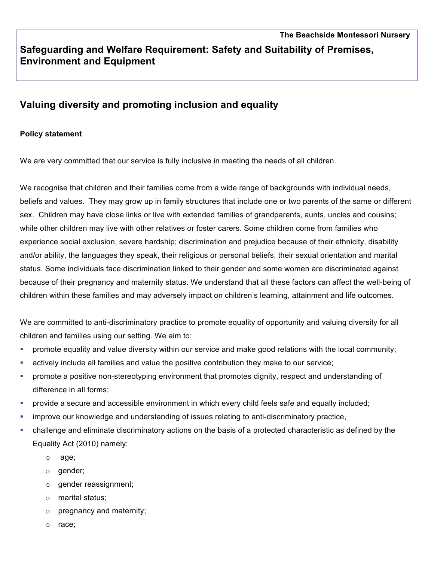# **Valuing diversity and promoting inclusion and equality**

## **Policy statement**

**Environment and Equipment**

We are very committed that our service is fully inclusive in meeting the needs of all children.

We recognise that children and their families come from a wide range of backgrounds with individual needs, beliefs and values. They may grow up in family structures that include one or two parents of the same or different sex. Children may have close links or live with extended families of grandparents, aunts, uncles and cousins; while other children may live with other relatives or foster carers. Some children come from families who experience social exclusion, severe hardship; discrimination and prejudice because of their ethnicity, disability and/or ability, the languages they speak, their religious or personal beliefs, their sexual orientation and marital status. Some individuals face discrimination linked to their gender and some women are discriminated against because of their pregnancy and maternity status. We understand that all these factors can affect the well-being of children within these families and may adversely impact on children's learning, attainment and life outcomes.

We are committed to anti-discriminatory practice to promote equality of opportunity and valuing diversity for all children and families using our setting. We aim to:

- promote equality and value diversity within our service and make good relations with the local community;
- **•** actively include all families and value the positive contribution they make to our service;
- promote a positive non-stereotyping environment that promotes dignity, respect and understanding of difference in all forms;
- provide a secure and accessible environment in which every child feels safe and equally included;
- **•** improve our knowledge and understanding of issues relating to anti-discriminatory practice,
- challenge and eliminate discriminatory actions on the basis of a protected characteristic as defined by the Equality Act (2010) namely:
	- o age;
	- o gender;
	- o gender reassignment;
	- o marital status;
	- o pregnancy and maternity;
	- o race;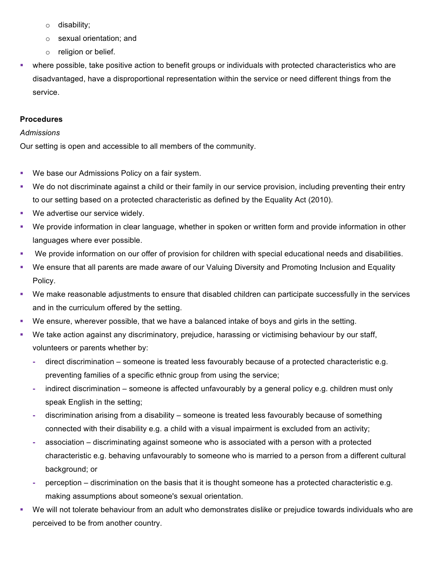- o disability;
- o sexual orientation; and
- o religion or belief.
- where possible, take positive action to benefit groups or individuals with protected characteristics who are disadvantaged, have a disproportional representation within the service or need different things from the service.

## **Procedures**

#### *Admissions*

Our setting is open and accessible to all members of the community.

- We base our Admissions Policy on a fair system.
- We do not discriminate against a child or their family in our service provision, including preventing their entry to our setting based on a protected characteristic as defined by the Equality Act (2010).
- We advertise our service widely.
- § We provide information in clear language, whether in spoken or written form and provide information in other languages where ever possible.
- We provide information on our offer of provision for children with special educational needs and disabilities.
- We ensure that all parents are made aware of our Valuing Diversity and Promoting Inclusion and Equality Policy.
- § We make reasonable adjustments to ensure that disabled children can participate successfully in the services and in the curriculum offered by the setting.
- We ensure, wherever possible, that we have a balanced intake of boys and girls in the setting.
- § We take action against any discriminatory, prejudice, harassing or victimising behaviour by our staff, volunteers or parents whether by:
	- **-** direct discrimination someone is treated less favourably because of a protected characteristic e.g. preventing families of a specific ethnic group from using the service;
	- **-** indirect discrimination someone is affected unfavourably by a general policy e.g. children must only speak English in the setting;
	- **-** discrimination arising from a disability someone is treated less favourably because of something connected with their disability e.g. a child with a visual impairment is excluded from an activity;
	- **-** association discriminating against someone who is associated with a person with a protected characteristic e.g. behaving unfavourably to someone who is married to a person from a different cultural background; or
	- **-** perception discrimination on the basis that it is thought someone has a protected characteristic e.g. making assumptions about someone's sexual orientation.
- We will not tolerate behaviour from an adult who demonstrates dislike or prejudice towards individuals who are perceived to be from another country.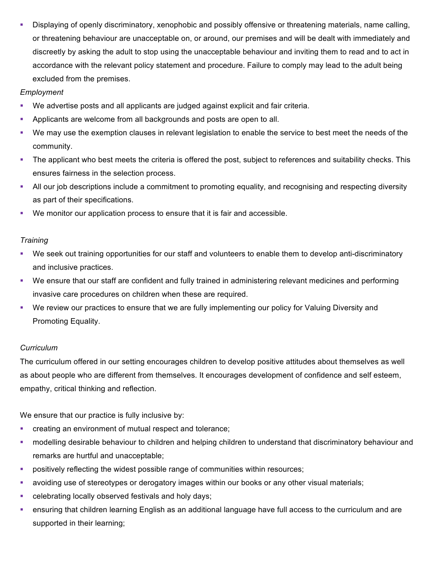• Displaying of openly discriminatory, xenophobic and possibly offensive or threatening materials, name calling, or threatening behaviour are unacceptable on, or around, our premises and will be dealt with immediately and discreetly by asking the adult to stop using the unacceptable behaviour and inviting them to read and to act in accordance with the relevant policy statement and procedure. Failure to comply may lead to the adult being excluded from the premises.

## *Employment*

- § We advertise posts and all applicants are judged against explicit and fair criteria.
- § Applicants are welcome from all backgrounds and posts are open to all.
- We may use the exemption clauses in relevant legislation to enable the service to best meet the needs of the community.
- The applicant who best meets the criteria is offered the post, subject to references and suitability checks. This ensures fairness in the selection process.
- All our job descriptions include a commitment to promoting equality, and recognising and respecting diversity as part of their specifications.
- § We monitor our application process to ensure that it is fair and accessible.

#### *Training*

- § We seek out training opportunities for our staff and volunteers to enable them to develop anti-discriminatory and inclusive practices.
- § We ensure that our staff are confident and fully trained in administering relevant medicines and performing invasive care procedures on children when these are required.
- We review our practices to ensure that we are fully implementing our policy for Valuing Diversity and Promoting Equality.

#### *Curriculum*

The curriculum offered in our setting encourages children to develop positive attitudes about themselves as well as about people who are different from themselves. It encourages development of confidence and self esteem, empathy, critical thinking and reflection.

We ensure that our practice is fully inclusive by:

- creating an environment of mutual respect and tolerance;
- modelling desirable behaviour to children and helping children to understand that discriminatory behaviour and remarks are hurtful and unacceptable;
- positively reflecting the widest possible range of communities within resources;
- avoiding use of stereotypes or derogatory images within our books or any other visual materials;
- celebrating locally observed festivals and holy days;
- ensuring that children learning English as an additional language have full access to the curriculum and are supported in their learning;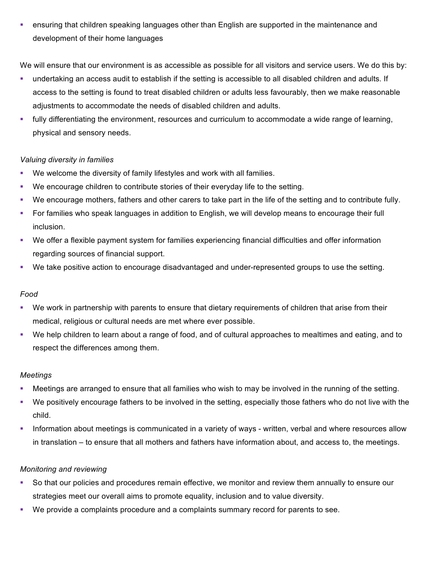• ensuring that children speaking languages other than English are supported in the maintenance and development of their home languages

We will ensure that our environment is as accessible as possible for all visitors and service users. We do this by:

- § undertaking an access audit to establish if the setting is accessible to all disabled children and adults. If access to the setting is found to treat disabled children or adults less favourably, then we make reasonable adjustments to accommodate the needs of disabled children and adults.
- fully differentiating the environment, resources and curriculum to accommodate a wide range of learning, physical and sensory needs.

# *Valuing diversity in families*

- § We welcome the diversity of family lifestyles and work with all families.
- § We encourage children to contribute stories of their everyday life to the setting.
- § We encourage mothers, fathers and other carers to take part in the life of the setting and to contribute fully.
- For families who speak languages in addition to English, we will develop means to encourage their full inclusion.
- § We offer a flexible payment system for families experiencing financial difficulties and offer information regarding sources of financial support.
- § We take positive action to encourage disadvantaged and under-represented groups to use the setting.

# *Food*

- We work in partnership with parents to ensure that dietary requirements of children that arise from their medical, religious or cultural needs are met where ever possible.
- § We help children to learn about a range of food, and of cultural approaches to mealtimes and eating, and to respect the differences among them.

# *Meetings*

- § Meetings are arranged to ensure that all families who wish to may be involved in the running of the setting.
- We positively encourage fathers to be involved in the setting, especially those fathers who do not live with the child.
- Information about meetings is communicated in a variety of ways written, verbal and where resources allow in translation – to ensure that all mothers and fathers have information about, and access to, the meetings.

# *Monitoring and reviewing*

- § So that our policies and procedures remain effective, we monitor and review them annually to ensure our strategies meet our overall aims to promote equality, inclusion and to value diversity.
- § We provide a complaints procedure and a complaints summary record for parents to see.